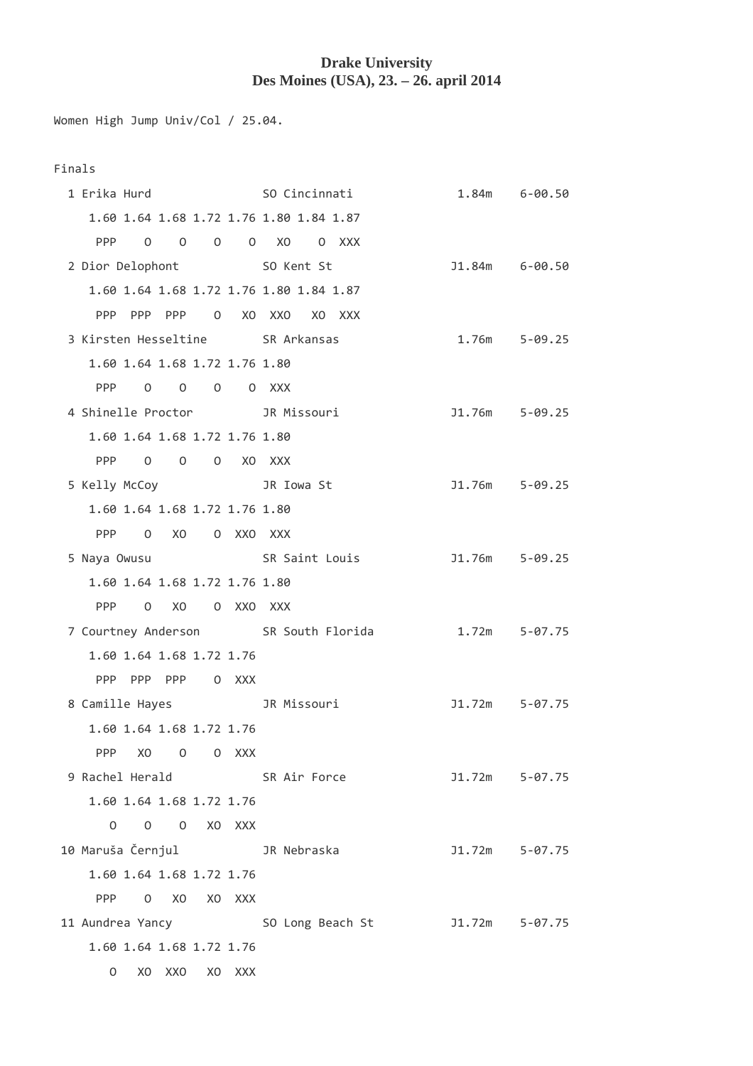## **Drake University Des Moines (USA), 23. – 26. april 2014**

Women High Jump Univ/Col / 25.04.

| . .<br>×<br>M.<br>٧ |  |
|---------------------|--|
|---------------------|--|

| 1 Erika Hurd                                  |                                                  |  | SO Cincinnati                           |                                      |  | 1.84m 6-00.50    |
|-----------------------------------------------|--------------------------------------------------|--|-----------------------------------------|--------------------------------------|--|------------------|
|                                               |                                                  |  | 1.60 1.64 1.68 1.72 1.76 1.80 1.84 1.87 |                                      |  |                  |
| <b>PPP</b>                                    | $\begin{array}{ccc} & & 0 & \quad 0 \end{array}$ |  | 0 0 XO 0 XXX                            |                                      |  |                  |
| 2 Dior Delophont 50 Kent St                   |                                                  |  |                                         |                                      |  | $J1.84m$ 6-00.50 |
|                                               |                                                  |  | 1.60 1.64 1.68 1.72 1.76 1.80 1.84 1.87 |                                      |  |                  |
|                                               |                                                  |  | PPP PPP PPP 0 XO XXO XO XXX             |                                      |  |                  |
| 3 Kirsten Hesseltine SR Arkansas              |                                                  |  |                                         |                                      |  | 1.76m 5-09.25    |
|                                               | 1.60 1.64 1.68 1.72 1.76 1.80                    |  |                                         |                                      |  |                  |
|                                               | PPP 0 0 0 0 XXX                                  |  |                                         |                                      |  |                  |
| 4 Shinelle Proctor JR Missouri                |                                                  |  |                                         |                                      |  | J1.76m 5-09.25   |
|                                               | 1.60 1.64 1.68 1.72 1.76 1.80                    |  |                                         |                                      |  |                  |
|                                               | PPP 0 0 0 XO XXX                                 |  |                                         |                                      |  |                  |
| 5 Kelly McCoy <b>3R</b> Iowa St               |                                                  |  |                                         |                                      |  | J1.76m 5-09.25   |
|                                               | 1.60 1.64 1.68 1.72 1.76 1.80                    |  |                                         |                                      |  |                  |
|                                               | PPP 0 XO 0 XXO XXX                               |  |                                         |                                      |  |                  |
| 5 Naya Owusu <b>SR</b> Saint Louis            |                                                  |  |                                         |                                      |  | J1.76m 5-09.25   |
|                                               | 1.60 1.64 1.68 1.72 1.76 1.80                    |  |                                         |                                      |  |                  |
|                                               | PPP 0 XO 0 XXO XXX                               |  |                                         |                                      |  |                  |
|                                               |                                                  |  |                                         | 7 Courtney Anderson SR South Florida |  | 1.72m 5-07.75    |
|                                               | 1.60 1.64 1.68 1.72 1.76                         |  |                                         |                                      |  |                  |
|                                               | PPP PPP PPP 0 XXX                                |  |                                         |                                      |  |                  |
| 8 Camille Hayes                               |                                                  |  | JR Missouri                             |                                      |  | $J1.72m$ 5-07.75 |
|                                               | 1.60 1.64 1.68 1.72 1.76                         |  |                                         |                                      |  |                  |
|                                               | PPP XO O O XXX                                   |  |                                         |                                      |  |                  |
| 9 Rachel Herald SR Air Force                  |                                                  |  |                                         |                                      |  | $J1.72m$ 5-07.75 |
|                                               | 1.60 1.64 1.68 1.72 1.76                         |  |                                         |                                      |  |                  |
|                                               | 0 0 0 XO XXX                                     |  |                                         |                                      |  |                  |
| 10 Maruša Černjul                 JR Nebraska |                                                  |  |                                         |                                      |  | J1.72m 5-07.75   |
|                                               | 1.60 1.64 1.68 1.72 1.76                         |  |                                         |                                      |  |                  |
|                                               | PPP 0 XO XO XXX                                  |  |                                         |                                      |  |                  |
| 11 Aundrea Yancy                              |                                                  |  |                                         |                                      |  |                  |
|                                               | 1.60 1.64 1.68 1.72 1.76                         |  |                                         |                                      |  |                  |
|                                               | 0 XO XXO XO XXX                                  |  |                                         |                                      |  |                  |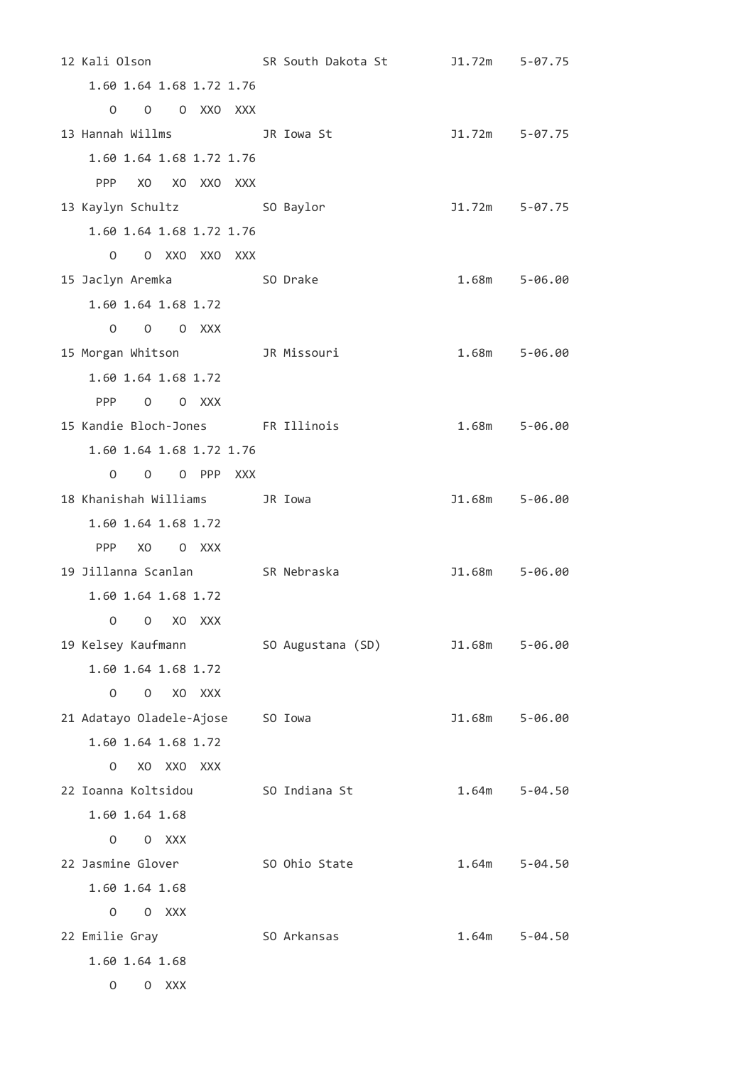12 Kali Olson SR South Dakota St J1.72m 5-07.75 1.60 1.64 1.68 1.72 1.76 O O O XXO XXX 13 Hannah Willms JR Iowa St J1.72m 5-07.75 1.60 1.64 1.68 1.72 1.76 PPP XO XO XXO XXX 13 Kaylyn Schultz SO Baylor J1.72m 5-07.75 1.60 1.64 1.68 1.72 1.76 O O XXO XXO XXX 15 Jaclyn Aremka SO Drake 1.68m 5-06.00 1.60 1.64 1.68 1.72 O O O XXX 15 Morgan Whitson JR Missouri 1.68m 5-06.00 1.60 1.64 1.68 1.72 PPP O O XXX 15 Kandie Bloch-Jones FR Illinois 1.68m 5-06.00 1.60 1.64 1.68 1.72 1.76 O O O PPP XXX 18 Khanishah Williams JR Iowa J1.68m 5-06.00 1.60 1.64 1.68 1.72 PPP XO O XXX 19 Jillanna Scanlan SR Nebraska J1.68m 5-06.00 1.60 1.64 1.68 1.72 O O XO XXX 19 Kelsey Kaufmann SO Augustana (SD) J1.68m 5-06.00 1.60 1.64 1.68 1.72 O O XO XXX 21 Adatayo Oladele-Ajose SO Iowa J1.68m 5-06.00 1.60 1.64 1.68 1.72 O XO XXO XXX 22 Ioanna Koltsidou SO Indiana St 1.64m 5-04.50 1.60 1.64 1.68 O O XXX 22 Jasmine Glover 50 Ohio State 1.64m 5-04.50 1.60 1.64 1.68 O O XXX 22 Emilie Gray 60 SO Arkansas 1.64m 5-04.50 1.60 1.64 1.68 O O XXX